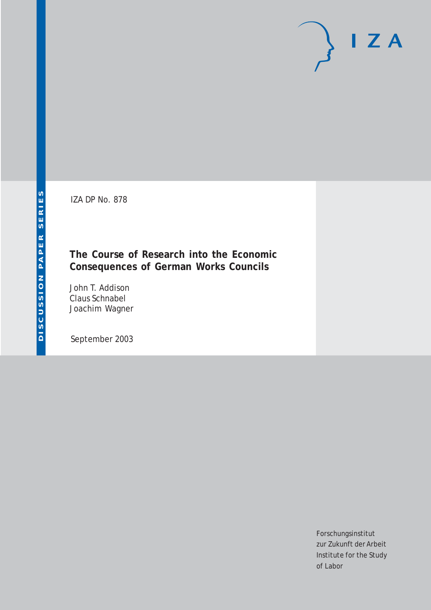IZA DP No. 878

## **The Course of Research into the Economic Consequences of German Works Councils**

John T. Addison Claus Schnabel Joachim Wagner

September 2003

Forschungsinstitut zur Zukunft der Arbeit Institute for the Study of Labor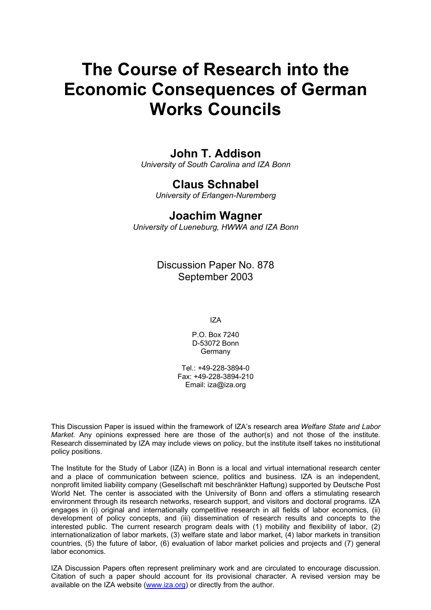# **The Course of Research into the Economic Consequences of German Works Councils**

## **John T. Addison**

*University of South Carolina and IZA Bonn* 

## **Claus Schnabel**

*University of Erlangen-Nuremberg* 

### **Joachim Wagner**

*University of Lueneburg, HWWA and IZA Bonn* 

Discussion Paper No. 878 September 2003

IZA

P.O. Box 7240 D-53072 Bonn Germany

Tel.: +49-228-3894-0 Fax: +49-228-3894-210 Email: [iza@iza.org](mailto:iza@iza.org)

This Discussion Paper is issued within the framework of IZA's research area *Welfare State and Labor Market.* Any opinions expressed here are those of the author(s) and not those of the institute. Research disseminated by IZA may include views on policy, but the institute itself takes no institutional policy positions.

The Institute for the Study of Labor (IZA) in Bonn is a local and virtual international research center and a place of communication between science, politics and business. IZA is an independent, nonprofit limited liability company (Gesellschaft mit beschränkter Haftung) supported by Deutsche Post World Net. The center is associated with the University of Bonn and offers a stimulating research environment through its research networks, research support, and visitors and doctoral programs. IZA engages in (i) original and internationally competitive research in all fields of labor economics, (ii) development of policy concepts, and (iii) dissemination of research results and concepts to the interested public. The current research program deals with (1) mobility and flexibility of labor, (2) internationalization of labor markets, (3) welfare state and labor market, (4) labor markets in transition countries, (5) the future of labor, (6) evaluation of labor market policies and projects and (7) general labor economics.

IZA Discussion Papers often represent preliminary work and are circulated to encourage discussion. Citation of such a paper should account for its provisional character. A revised version may be available on the IZA website ([www.iza.org](http://www.iza.org/)) or directly from the author.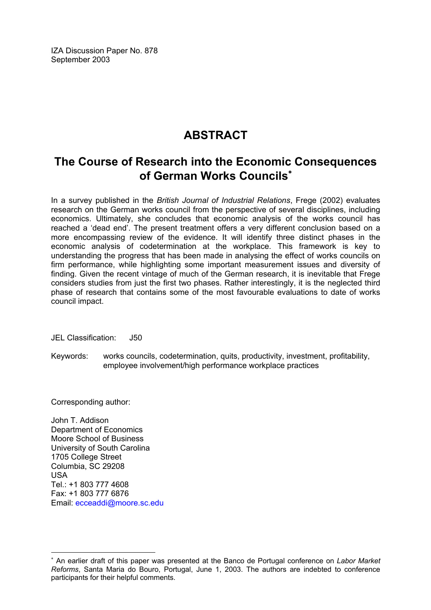IZA Discussion Paper No. 878 September 2003

# **ABSTRACT**

# **The Course of Research into the Economic Consequences of German Works Councils**[∗](#page-2-0)

In a survey published in the *British Journal of Industrial Relations*, Frege (2002) evaluates research on the German works council from the perspective of several disciplines, including economics. Ultimately, she concludes that economic analysis of the works council has reached a 'dead end'. The present treatment offers a very different conclusion based on a more encompassing review of the evidence. It will identify three distinct phases in the economic analysis of codetermination at the workplace. This framework is key to understanding the progress that has been made in analysing the effect of works councils on firm performance, while highlighting some important measurement issues and diversity of finding. Given the recent vintage of much of the German research, it is inevitable that Frege considers studies from just the first two phases. Rather interestingly, it is the neglected third phase of research that contains some of the most favourable evaluations to date of works council impact.

JEL Classification: J50

Keywords: works councils, codetermination, quits, productivity, investment, profitability, employee involvement/high performance workplace practices

Corresponding author:

 $\overline{a}$ 

John T. Addison Department of Economics Moore School of Business University of South Carolina 1705 College Street Columbia, SC 29208 USA  $Tel + 1 803 777 4608$ Fax: +1 803 777 6876 Email: [ecceaddi@moore.sc.edu](mailto:ecceaddi@moore.sc.edu)

<span id="page-2-0"></span><sup>∗</sup> An earlier draft of this paper was presented at the Banco de Portugal conference on *Labor Market Reforms*, Santa Maria do Bouro, Portugal, June 1, 2003. The authors are indebted to conference participants for their helpful comments.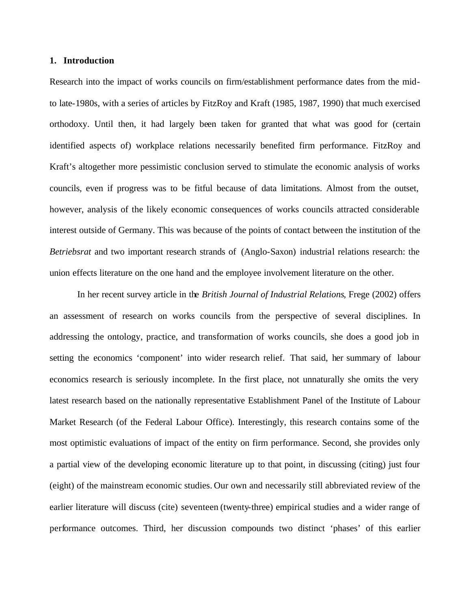#### **1. Introduction**

Research into the impact of works councils on firm/establishment performance dates from the midto late-1980s, with a series of articles by FitzRoy and Kraft (1985, 1987, 1990) that much exercised orthodoxy. Until then, it had largely been taken for granted that what was good for (certain identified aspects of) workplace relations necessarily benefited firm performance. FitzRoy and Kraft's altogether more pessimistic conclusion served to stimulate the economic analysis of works councils, even if progress was to be fitful because of data limitations. Almost from the outset, however, analysis of the likely economic consequences of works councils attracted considerable interest outside of Germany. This was because of the points of contact between the institution of the *Betriebsrat* and two important research strands of (Anglo-Saxon) industrial relations research: the union effects literature on the one hand and the employee involvement literature on the other.

In her recent survey article in the *British Journal of Industrial Relations*, Frege (2002) offers an assessment of research on works councils from the perspective of several disciplines. In addressing the ontology, practice, and transformation of works councils, she does a good job in setting the economics 'component' into wider research relief. That said, her summary of labour economics research is seriously incomplete. In the first place, not unnaturally she omits the very latest research based on the nationally representative Establishment Panel of the Institute of Labour Market Research (of the Federal Labour Office). Interestingly, this research contains some of the most optimistic evaluations of impact of the entity on firm performance. Second, she provides only a partial view of the developing economic literature up to that point, in discussing (citing) just four (eight) of the mainstream economic studies. Our own and necessarily still abbreviated review of the earlier literature will discuss (cite) seventeen (twenty-three) empirical studies and a wider range of performance outcomes. Third, her discussion compounds two distinct 'phases' of this earlier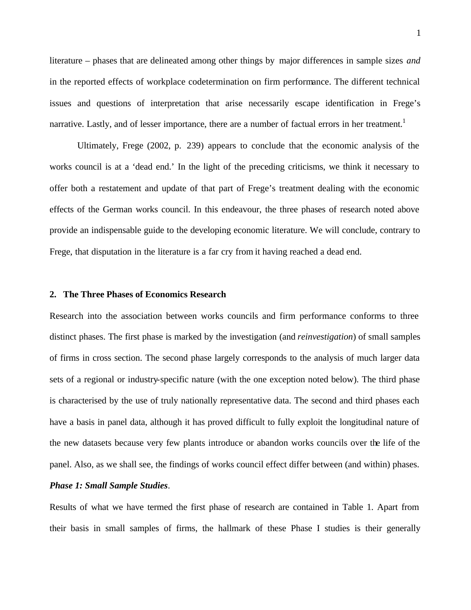literature – phases that are delineated among other things by major differences in sample sizes *and* in the reported effects of workplace codetermination on firm performance. The different technical issues and questions of interpretation that arise necessarily escape identification in Frege's narrative. Lastly, and of lesser importance, there are a number of factual errors in her treatment.<sup>1</sup>

Ultimately, Frege (2002, p. 239) appears to conclude that the economic analysis of the works council is at a 'dead end.' In the light of the preceding criticisms, we think it necessary to offer both a restatement and update of that part of Frege's treatment dealing with the economic effects of the German works council. In this endeavour, the three phases of research noted above provide an indispensable guide to the developing economic literature. We will conclude, contrary to Frege, that disputation in the literature is a far cry from it having reached a dead end.

#### **2. The Three Phases of Economics Research**

Research into the association between works councils and firm performance conforms to three distinct phases. The first phase is marked by the investigation (and *reinvestigation*) of small samples of firms in cross section. The second phase largely corresponds to the analysis of much larger data sets of a regional or industry-specific nature (with the one exception noted below). The third phase is characterised by the use of truly nationally representative data. The second and third phases each have a basis in panel data, although it has proved difficult to fully exploit the longitudinal nature of the new datasets because very few plants introduce or abandon works councils over the life of the panel. Also, as we shall see, the findings of works council effect differ between (and within) phases.

#### *Phase 1: Small Sample Studies*.

Results of what we have termed the first phase of research are contained in Table 1. Apart from their basis in small samples of firms, the hallmark of these Phase I studies is their generally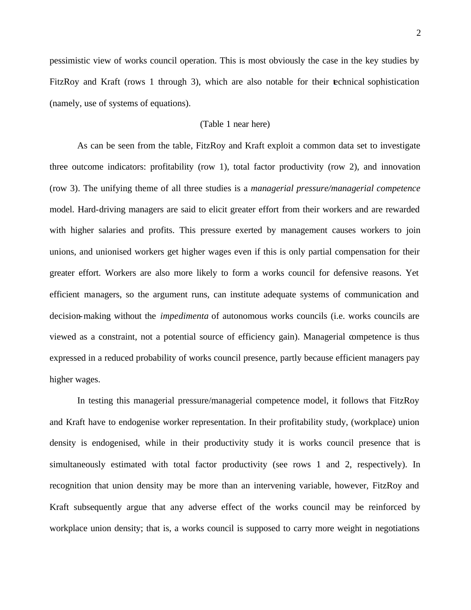pessimistic view of works council operation. This is most obviously the case in the key studies by FitzRoy and Kraft (rows 1 through 3), which are also notable for their technical sophistication (namely, use of systems of equations).

#### (Table 1 near here)

As can be seen from the table, FitzRoy and Kraft exploit a common data set to investigate three outcome indicators: profitability (row 1), total factor productivity (row 2), and innovation (row 3). The unifying theme of all three studies is a *managerial pressure/managerial competence* model. Hard-driving managers are said to elicit greater effort from their workers and are rewarded with higher salaries and profits. This pressure exerted by management causes workers to join unions, and unionised workers get higher wages even if this is only partial compensation for their greater effort. Workers are also more likely to form a works council for defensive reasons. Yet efficient managers, so the argument runs, can institute adequate systems of communication and decision-making without the *impedimenta* of autonomous works councils (i.e. works councils are viewed as a constraint, not a potential source of efficiency gain). Managerial competence is thus expressed in a reduced probability of works council presence, partly because efficient managers pay higher wages.

In testing this managerial pressure/managerial competence model, it follows that FitzRoy and Kraft have to endogenise worker representation. In their profitability study, (workplace) union density is endogenised, while in their productivity study it is works council presence that is simultaneously estimated with total factor productivity (see rows 1 and 2, respectively). In recognition that union density may be more than an intervening variable, however, FitzRoy and Kraft subsequently argue that any adverse effect of the works council may be reinforced by workplace union density; that is, a works council is supposed to carry more weight in negotiations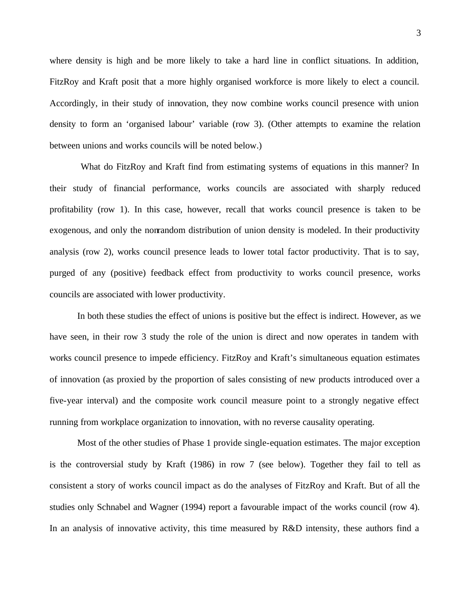where density is high and be more likely to take a hard line in conflict situations. In addition, FitzRoy and Kraft posit that a more highly organised workforce is more likely to elect a council. Accordingly, in their study of innovation, they now combine works council presence with union density to form an 'organised labour' variable (row 3). (Other attempts to examine the relation between unions and works councils will be noted below.)

 What do FitzRoy and Kraft find from estimating systems of equations in this manner? In their study of financial performance, works councils are associated with sharply reduced profitability (row 1). In this case, however, recall that works council presence is taken to be exogenous, and only the nonrandom distribution of union density is modeled. In their productivity analysis (row 2), works council presence leads to lower total factor productivity. That is to say, purged of any (positive) feedback effect from productivity to works council presence, works councils are associated with lower productivity.

In both these studies the effect of unions is positive but the effect is indirect. However, as we have seen, in their row 3 study the role of the union is direct and now operates in tandem with works council presence to impede efficiency. FitzRoy and Kraft's simultaneous equation estimates of innovation (as proxied by the proportion of sales consisting of new products introduced over a five-year interval) and the composite work council measure point to a strongly negative effect running from workplace organization to innovation, with no reverse causality operating.

Most of the other studies of Phase 1 provide single-equation estimates. The major exception is the controversial study by Kraft (1986) in row 7 (see below). Together they fail to tell as consistent a story of works council impact as do the analyses of FitzRoy and Kraft. But of all the studies only Schnabel and Wagner (1994) report a favourable impact of the works council (row 4). In an analysis of innovative activity, this time measured by R&D intensity, these authors find a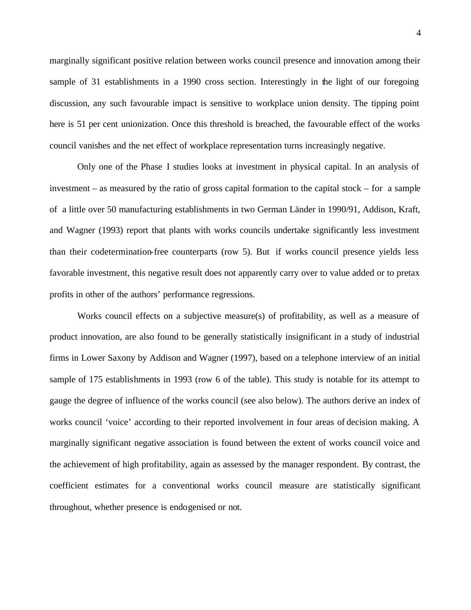marginally significant positive relation between works council presence and innovation among their sample of 31 establishments in a 1990 cross section. Interestingly in the light of our foregoing discussion, any such favourable impact is sensitive to workplace union density. The tipping point here is 51 per cent unionization. Once this threshold is breached, the favourable effect of the works council vanishes and the net effect of workplace representation turns increasingly negative.

Only one of the Phase I studies looks at investment in physical capital. In an analysis of investment – as measured by the ratio of gross capital formation to the capital stock – for a sample of a little over 50 manufacturing establishments in two German Länder in 1990/91, Addison, Kraft, and Wagner (1993) report that plants with works councils undertake significantly less investment than their codetermination-free counterparts (row 5). But if works council presence yields less favorable investment, this negative result does not apparently carry over to value added or to pretax profits in other of the authors' performance regressions.

Works council effects on a subjective measure(s) of profitability, as well as a measure of product innovation, are also found to be generally statistically insignificant in a study of industrial firms in Lower Saxony by Addison and Wagner (1997), based on a telephone interview of an initial sample of 175 establishments in 1993 (row 6 of the table). This study is notable for its attempt to gauge the degree of influence of the works council (see also below). The authors derive an index of works council 'voice' according to their reported involvement in four areas of decision making. A marginally significant negative association is found between the extent of works council voice and the achievement of high profitability, again as assessed by the manager respondent. By contrast, the coefficient estimates for a conventional works council measure are statistically significant throughout, whether presence is endogenised or not.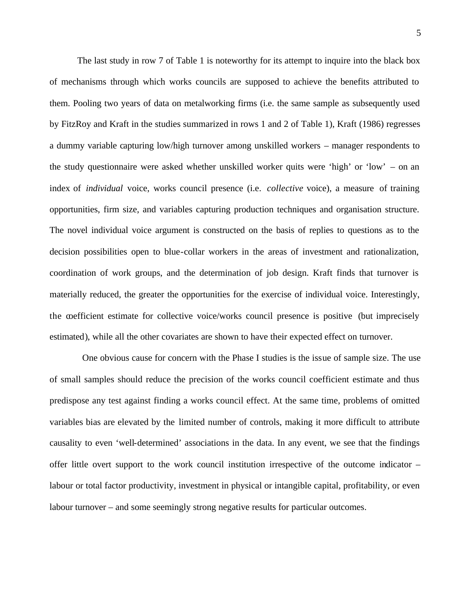The last study in row 7 of Table 1 is noteworthy for its attempt to inquire into the black box of mechanisms through which works councils are supposed to achieve the benefits attributed to them. Pooling two years of data on metalworking firms (i.e. the same sample as subsequently used by FitzRoy and Kraft in the studies summarized in rows 1 and 2 of Table 1), Kraft (1986) regresses a dummy variable capturing low/high turnover among unskilled workers – manager respondents to the study questionnaire were asked whether unskilled worker quits were 'high' or 'low' – on an index of *individual* voice, works council presence (i.e. *collective* voice), a measure of training opportunities, firm size, and variables capturing production techniques and organisation structure. The novel individual voice argument is constructed on the basis of replies to questions as to the decision possibilities open to blue-collar workers in the areas of investment and rationalization, coordination of work groups, and the determination of job design. Kraft finds that turnover is materially reduced, the greater the opportunities for the exercise of individual voice. Interestingly, the coefficient estimate for collective voice/works council presence is positive (but imprecisely estimated), while all the other covariates are shown to have their expected effect on turnover.

 One obvious cause for concern with the Phase I studies is the issue of sample size. The use of small samples should reduce the precision of the works council coefficient estimate and thus predispose any test against finding a works council effect. At the same time, problems of omitted variables bias are elevated by the limited number of controls, making it more difficult to attribute causality to even 'well-determined' associations in the data. In any event, we see that the findings offer little overt support to the work council institution irrespective of the outcome indicator – labour or total factor productivity, investment in physical or intangible capital, profitability, or even labour turnover – and some seemingly strong negative results for particular outcomes.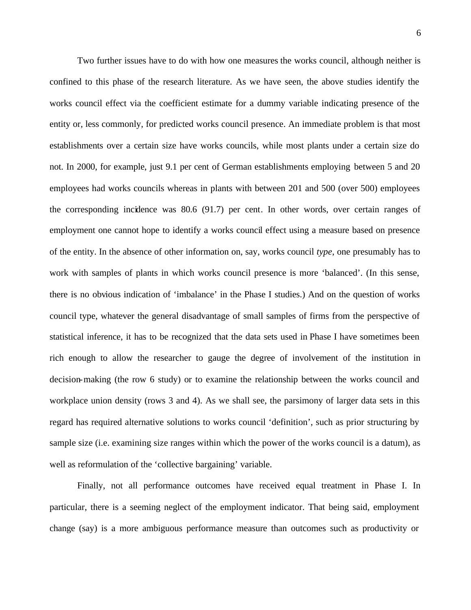Two further issues have to do with how one measures the works council, although neither is confined to this phase of the research literature. As we have seen, the above studies identify the works council effect via the coefficient estimate for a dummy variable indicating presence of the entity or, less commonly, for predicted works council presence. An immediate problem is that most establishments over a certain size have works councils, while most plants under a certain size do not. In 2000, for example, just 9.1 per cent of German establishments employing between 5 and 20 employees had works councils whereas in plants with between 201 and 500 (over 500) employees the corresponding incidence was 80.6 (91.7) per cent. In other words, over certain ranges of employment one cannot hope to identify a works council effect using a measure based on presence of the entity. In the absence of other information on, say, works council *type*, one presumably has to work with samples of plants in which works council presence is more 'balanced'. (In this sense, there is no obvious indication of 'imbalance' in the Phase I studies.) And on the question of works council type, whatever the general disadvantage of small samples of firms from the perspective of statistical inference, it has to be recognized that the data sets used in Phase I have sometimes been rich enough to allow the researcher to gauge the degree of involvement of the institution in decision-making (the row 6 study) or to examine the relationship between the works council and workplace union density (rows 3 and 4). As we shall see, the parsimony of larger data sets in this regard has required alternative solutions to works council 'definition', such as prior structuring by sample size (i.e. examining size ranges within which the power of the works council is a datum), as well as reformulation of the 'collective bargaining' variable.

Finally, not all performance outcomes have received equal treatment in Phase I. In particular, there is a seeming neglect of the employment indicator. That being said, employment change (say) is a more ambiguous performance measure than outcomes such as productivity or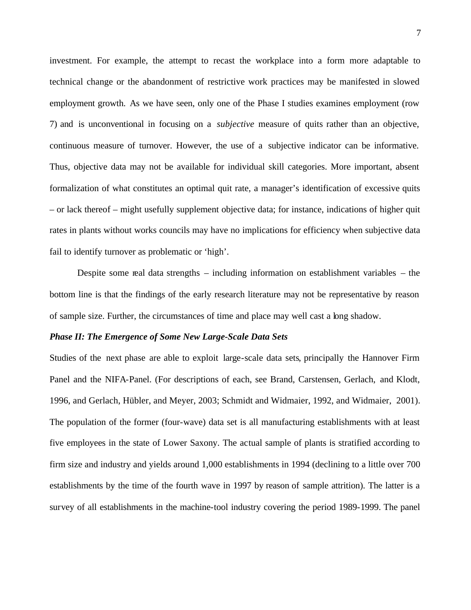investment. For example, the attempt to recast the workplace into a form more adaptable to technical change or the abandonment of restrictive work practices may be manifested in slowed employment growth. As we have seen, only one of the Phase I studies examines employment (row 7) and is unconventional in focusing on a *subjective* measure of quits rather than an objective, continuous measure of turnover. However, the use of a subjective indicator can be informative. Thus, objective data may not be available for individual skill categories. More important, absent formalization of what constitutes an optimal quit rate, a manager's identification of excessive quits – or lack thereof – might usefully supplement objective data; for instance, indications of higher quit rates in plants without works councils may have no implications for efficiency when subjective data fail to identify turnover as problematic or 'high'.

Despite some real data strengths – including information on establishment variables – the bottom line is that the findings of the early research literature may not be representative by reason of sample size. Further, the circumstances of time and place may well cast a long shadow.

#### *Phase II: The Emergence of Some New Large-Scale Data Sets*

Studies of the next phase are able to exploit large-scale data sets, principally the Hannover Firm Panel and the NIFA-Panel. (For descriptions of each, see Brand, Carstensen, Gerlach, and Klodt, 1996, and Gerlach, Hübler, and Meyer, 2003; Schmidt and Widmaier, 1992, and Widmaier, 2001). The population of the former (four-wave) data set is all manufacturing establishments with at least five employees in the state of Lower Saxony. The actual sample of plants is stratified according to firm size and industry and yields around 1,000 establishments in 1994 (declining to a little over 700 establishments by the time of the fourth wave in 1997 by reason of sample attrition). The latter is a survey of all establishments in the machine-tool industry covering the period 1989-1999. The panel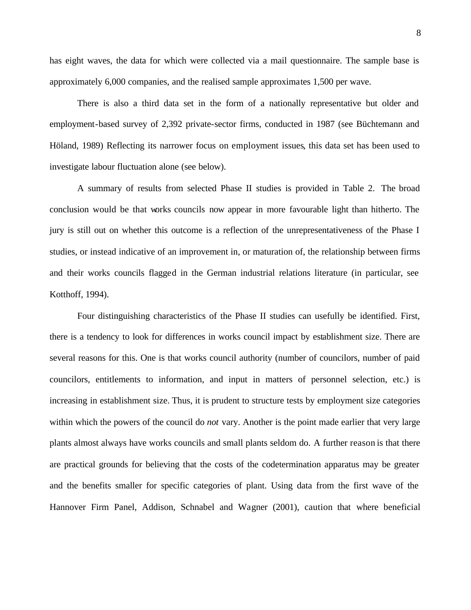has eight waves, the data for which were collected via a mail questionnaire. The sample base is approximately 6,000 companies, and the realised sample approximates 1,500 per wave.

There is also a third data set in the form of a nationally representative but older and employment-based survey of 2,392 private-sector firms, conducted in 1987 (see Büchtemann and Höland, 1989) Reflecting its narrower focus on employment issues, this data set has been used to investigate labour fluctuation alone (see below).

A summary of results from selected Phase II studies is provided in Table 2. The broad conclusion would be that works councils now appear in more favourable light than hitherto. The jury is still out on whether this outcome is a reflection of the unrepresentativeness of the Phase I studies, or instead indicative of an improvement in, or maturation of, the relationship between firms and their works councils flagged in the German industrial relations literature (in particular, see Kotthoff, 1994).

Four distinguishing characteristics of the Phase II studies can usefully be identified. First, there is a tendency to look for differences in works council impact by establishment size. There are several reasons for this. One is that works council authority (number of councilors, number of paid councilors, entitlements to information, and input in matters of personnel selection, etc.) is increasing in establishment size. Thus, it is prudent to structure tests by employment size categories within which the powers of the council do *not* vary. Another is the point made earlier that very large plants almost always have works councils and small plants seldom do. A further reason is that there are practical grounds for believing that the costs of the codetermination apparatus may be greater and the benefits smaller for specific categories of plant. Using data from the first wave of the Hannover Firm Panel, Addison, Schnabel and Wagner (2001), caution that where beneficial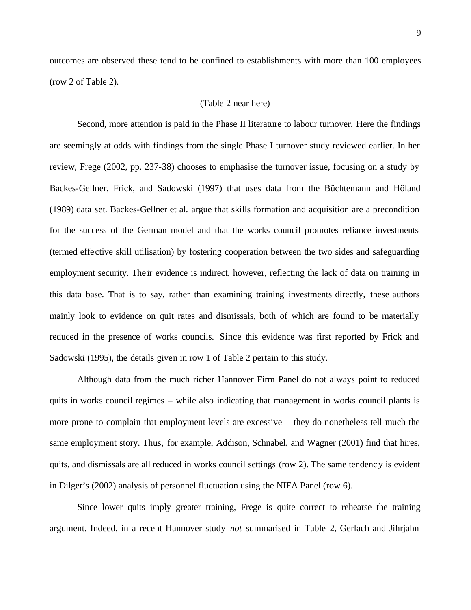outcomes are observed these tend to be confined to establishments with more than 100 employees (row 2 of Table 2).

#### (Table 2 near here)

Second, more attention is paid in the Phase II literature to labour turnover. Here the findings are seemingly at odds with findings from the single Phase I turnover study reviewed earlier. In her review, Frege (2002, pp. 237-38) chooses to emphasise the turnover issue, focusing on a study by Backes-Gellner, Frick, and Sadowski (1997) that uses data from the Büchtemann and Höland (1989) data set. Backes-Gellner et al. argue that skills formation and acquisition are a precondition for the success of the German model and that the works council promotes reliance investments (termed effective skill utilisation) by fostering cooperation between the two sides and safeguarding employment security. The ir evidence is indirect, however, reflecting the lack of data on training in this data base. That is to say, rather than examining training investments directly, these authors mainly look to evidence on quit rates and dismissals, both of which are found to be materially reduced in the presence of works councils. Since this evidence was first reported by Frick and Sadowski (1995), the details given in row 1 of Table 2 pertain to this study.

Although data from the much richer Hannover Firm Panel do not always point to reduced quits in works council regimes – while also indicating that management in works council plants is more prone to complain that employment levels are excessive – they do nonetheless tell much the same employment story. Thus, for example, Addison, Schnabel, and Wagner (2001) find that hires, quits, and dismissals are all reduced in works council settings (row 2). The same tendency is evident in Dilger's (2002) analysis of personnel fluctuation using the NIFA Panel (row 6).

Since lower quits imply greater training, Frege is quite correct to rehearse the training argument. Indeed, in a recent Hannover study *not* summarised in Table 2, Gerlach and Jihrjahn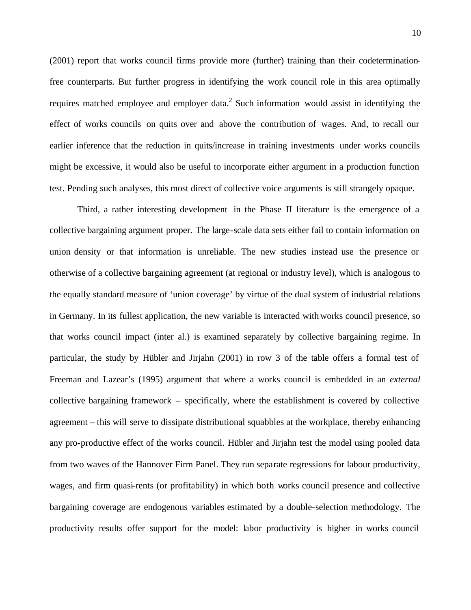(2001) report that works council firms provide more (further) training than their codeterminationfree counterparts. But further progress in identifying the work council role in this area optimally requires matched employee and employer data.<sup>2</sup> Such information would assist in identifying the effect of works councils on quits over and above the contribution of wages. And, to recall our earlier inference that the reduction in quits/increase in training investments under works councils might be excessive, it would also be useful to incorporate either argument in a production function test. Pending such analyses, this most direct of collective voice arguments is still strangely opaque.

Third, a rather interesting development in the Phase II literature is the emergence of a collective bargaining argument proper. The large-scale data sets either fail to contain information on union density or that information is unreliable. The new studies instead use the presence or otherwise of a collective bargaining agreement (at regional or industry level), which is analogous to the equally standard measure of 'union coverage' by virtue of the dual system of industrial relations in Germany. In its fullest application, the new variable is interacted with works council presence, so that works council impact (inter al.) is examined separately by collective bargaining regime. In particular, the study by Hübler and Jirjahn (2001) in row 3 of the table offers a formal test of Freeman and Lazear's (1995) argument that where a works council is embedded in an *external* collective bargaining framework – specifically, where the establishment is covered by collective agreement – this will serve to dissipate distributional squabbles at the workplace, thereby enhancing any pro-productive effect of the works council. Hübler and Jirjahn test the model using pooled data from two waves of the Hannover Firm Panel. They run separate regressions for labour productivity, wages, and firm quasi-rents (or profitability) in which both works council presence and collective bargaining coverage are endogenous variables estimated by a double-selection methodology. The productivity results offer support for the model: labor productivity is higher in works council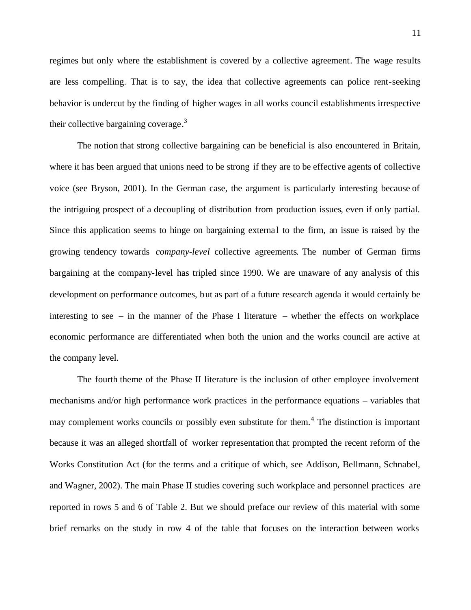regimes but only where the establishment is covered by a collective agreement. The wage results are less compelling. That is to say, the idea that collective agreements can police rent-seeking behavior is undercut by the finding of higher wages in all works council establishments irrespective their collective bargaining coverage.<sup>3</sup>

The notion that strong collective bargaining can be beneficial is also encountered in Britain, where it has been argued that unions need to be strong if they are to be effective agents of collective voice (see Bryson, 2001). In the German case, the argument is particularly interesting because of the intriguing prospect of a decoupling of distribution from production issues, even if only partial. Since this application seems to hinge on bargaining external to the firm, an issue is raised by the growing tendency towards *company-level* collective agreements. The number of German firms bargaining at the company-level has tripled since 1990. We are unaware of any analysis of this development on performance outcomes, but as part of a future research agenda it would certainly be interesting to see – in the manner of the Phase I literature – whether the effects on workplace economic performance are differentiated when both the union and the works council are active at the company level.

The fourth theme of the Phase II literature is the inclusion of other employee involvement mechanisms and/or high performance work practices in the performance equations – variables that may complement works councils or possibly even substitute for them.<sup>4</sup> The distinction is important because it was an alleged shortfall of worker representation that prompted the recent reform of the Works Constitution Act (for the terms and a critique of which, see Addison, Bellmann, Schnabel, and Wagner, 2002). The main Phase II studies covering such workplace and personnel practices are reported in rows 5 and 6 of Table 2. But we should preface our review of this material with some brief remarks on the study in row 4 of the table that focuses on the interaction between works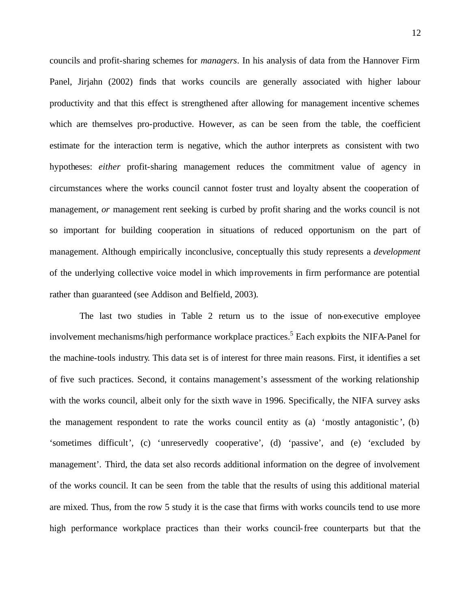councils and profit-sharing schemes for *managers*. In his analysis of data from the Hannover Firm Panel, Jirjahn (2002) finds that works councils are generally associated with higher labour productivity and that this effect is strengthened after allowing for management incentive schemes which are themselves pro-productive. However, as can be seen from the table, the coefficient estimate for the interaction term is negative, which the author interprets as consistent with two hypotheses: *either* profit-sharing management reduces the commitment value of agency in circumstances where the works council cannot foster trust and loyalty absent the cooperation of management, *or* management rent seeking is curbed by profit sharing and the works council is not so important for building cooperation in situations of reduced opportunism on the part of management. Although empirically inconclusive, conceptually this study represents a *development* of the underlying collective voice model in which improvements in firm performance are potential rather than guaranteed (see Addison and Belfield, 2003).

 The last two studies in Table 2 return us to the issue of non-executive employee involvement mechanisms/high performance workplace practices.<sup>5</sup> Each exploits the NIFA-Panel for the machine-tools industry. This data set is of interest for three main reasons. First, it identifies a set of five such practices. Second, it contains management's assessment of the working relationship with the works council, albeit only for the sixth wave in 1996. Specifically, the NIFA survey asks the management respondent to rate the works council entity as (a) 'mostly antagonistic ', (b) 'sometimes difficult', (c) 'unreservedly cooperative', (d) 'passive', and (e) 'excluded by management'. Third, the data set also records additional information on the degree of involvement of the works council. It can be seen from the table that the results of using this additional material are mixed. Thus, from the row 5 study it is the case that firms with works councils tend to use more high performance workplace practices than their works council-free counterparts but that the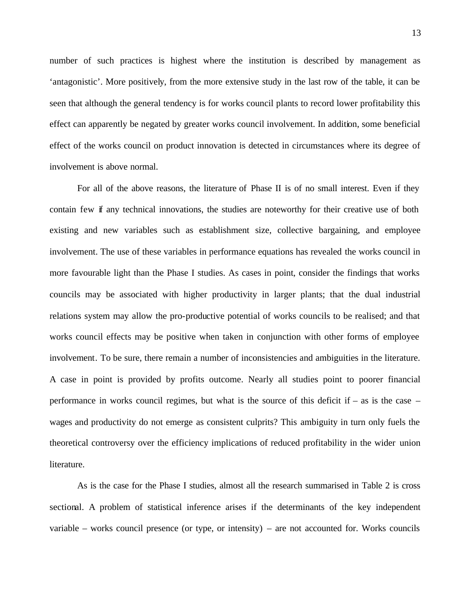number of such practices is highest where the institution is described by management as 'antagonistic'. More positively, from the more extensive study in the last row of the table, it can be seen that although the general tendency is for works council plants to record lower profitability this effect can apparently be negated by greater works council involvement. In addition, some beneficial effect of the works council on product innovation is detected in circumstances where its degree of involvement is above normal.

For all of the above reasons, the literature of Phase II is of no small interest. Even if they contain few if any technical innovations, the studies are noteworthy for their creative use of both existing and new variables such as establishment size, collective bargaining, and employee involvement. The use of these variables in performance equations has revealed the works council in more favourable light than the Phase I studies. As cases in point, consider the findings that works councils may be associated with higher productivity in larger plants; that the dual industrial relations system may allow the pro-productive potential of works councils to be realised; and that works council effects may be positive when taken in conjunction with other forms of employee involvement. To be sure, there remain a number of inconsistencies and ambiguities in the literature. A case in point is provided by profits outcome. Nearly all studies point to poorer financial performance in works council regimes, but what is the source of this deficit if – as is the case – wages and productivity do not emerge as consistent culprits? This ambiguity in turn only fuels the theoretical controversy over the efficiency implications of reduced profitability in the wider union literature.

As is the case for the Phase I studies, almost all the research summarised in Table 2 is cross sectional. A problem of statistical inference arises if the determinants of the key independent variable – works council presence (or type, or intensity) – are not accounted for. Works councils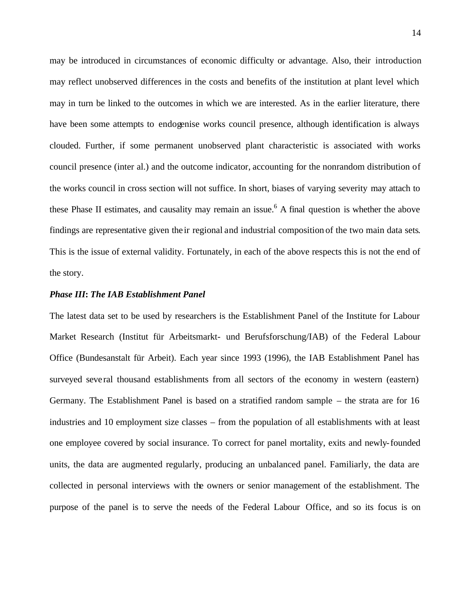may be introduced in circumstances of economic difficulty or advantage. Also, their introduction may reflect unobserved differences in the costs and benefits of the institution at plant level which may in turn be linked to the outcomes in which we are interested. As in the earlier literature, there have been some attempts to endogenise works council presence, although identification is always clouded. Further, if some permanent unobserved plant characteristic is associated with works council presence (inter al.) and the outcome indicator, accounting for the nonrandom distribution of the works council in cross section will not suffice. In short, biases of varying severity may attach to these Phase II estimates, and causality may remain an issue.<sup>6</sup> A final question is whether the above findings are representative given the ir regional and industrial composition of the two main data sets. This is the issue of external validity. Fortunately, in each of the above respects this is not the end of the story.

#### *Phase III***:** *The IAB Establishment Panel*

The latest data set to be used by researchers is the Establishment Panel of the Institute for Labour Market Research (Institut für Arbeitsmarkt- und Berufsforschung/IAB) of the Federal Labour Office (Bundesanstalt für Arbeit). Each year since 1993 (1996), the IAB Establishment Panel has surveyed seve ral thousand establishments from all sectors of the economy in western (eastern) Germany. The Establishment Panel is based on a stratified random sample – the strata are for 16 industries and 10 employment size classes – from the population of all establishments with at least one employee covered by social insurance. To correct for panel mortality, exits and newly-founded units, the data are augmented regularly, producing an unbalanced panel. Familiarly, the data are collected in personal interviews with the owners or senior management of the establishment. The purpose of the panel is to serve the needs of the Federal Labour Office, and so its focus is on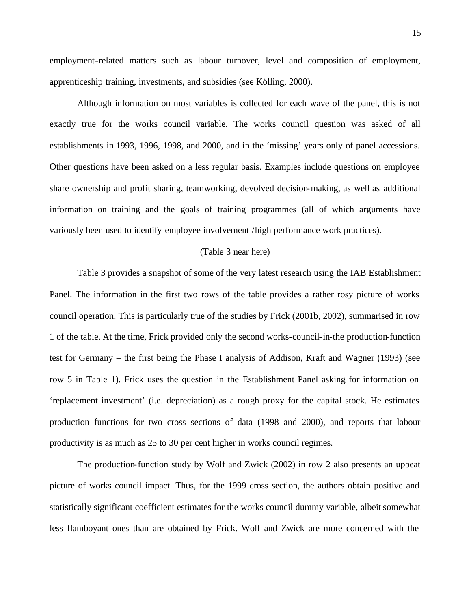employment-related matters such as labour turnover, level and composition of employment, apprenticeship training, investments, and subsidies (see Kölling, 2000).

Although information on most variables is collected for each wave of the panel, this is not exactly true for the works council variable. The works council question was asked of all establishments in 1993, 1996, 1998, and 2000, and in the 'missing' years only of panel accessions. Other questions have been asked on a less regular basis. Examples include questions on employee share ownership and profit sharing, teamworking, devolved decision-making, as well as additional information on training and the goals of training programmes (all of which arguments have variously been used to identify employee involvement /high performance work practices).

#### (Table 3 near here)

Table 3 provides a snapshot of some of the very latest research using the IAB Establishment Panel. The information in the first two rows of the table provides a rather rosy picture of works council operation. This is particularly true of the studies by Frick (2001b, 2002), summarised in row 1 of the table. At the time, Frick provided only the second works-council-in-the production-function test for Germany – the first being the Phase I analysis of Addison, Kraft and Wagner (1993) (see row 5 in Table 1). Frick uses the question in the Establishment Panel asking for information on 'replacement investment' (i.e. depreciation) as a rough proxy for the capital stock. He estimates production functions for two cross sections of data (1998 and 2000), and reports that labour productivity is as much as 25 to 30 per cent higher in works council regimes.

The production-function study by Wolf and Zwick (2002) in row 2 also presents an upbeat picture of works council impact. Thus, for the 1999 cross section, the authors obtain positive and statistically significant coefficient estimates for the works council dummy variable, albeit somewhat less flamboyant ones than are obtained by Frick. Wolf and Zwick are more concerned with the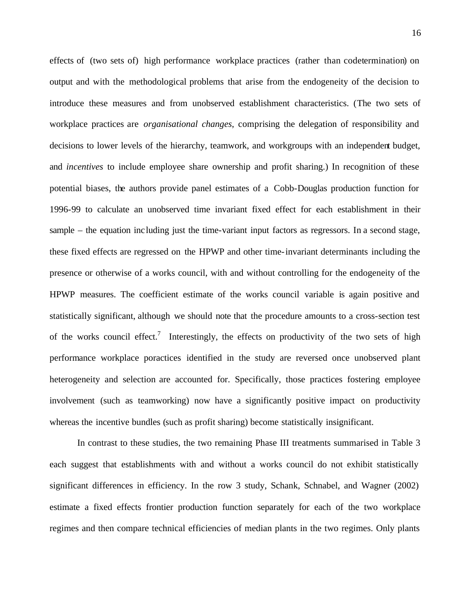effects of (two sets of) high performance workplace practices (rather than codetermination) on output and with the methodological problems that arise from the endogeneity of the decision to introduce these measures and from unobserved establishment characteristics. (The two sets of workplace practices are *organisational changes*, comprising the delegation of responsibility and decisions to lower levels of the hierarchy, teamwork, and workgroups with an independent budget, and *incentives* to include employee share ownership and profit sharing.) In recognition of these potential biases, the authors provide panel estimates of a Cobb-Douglas production function for 1996-99 to calculate an unobserved time invariant fixed effect for each establishment in their sample – the equation including just the time-variant input factors as regressors. In a second stage, these fixed effects are regressed on the HPWP and other time-invariant determinants including the presence or otherwise of a works council, with and without controlling for the endogeneity of the HPWP measures. The coefficient estimate of the works council variable is again positive and statistically significant, although we should note that the procedure amounts to a cross-section test of the works council effect.<sup>7</sup> Interestingly, the effects on productivity of the two sets of high performance workplace poractices identified in the study are reversed once unobserved plant heterogeneity and selection are accounted for. Specifically, those practices fostering employee involvement (such as teamworking) now have a significantly positive impact on productivity whereas the incentive bundles (such as profit sharing) become statistically insignificant.

In contrast to these studies, the two remaining Phase III treatments summarised in Table 3 each suggest that establishments with and without a works council do not exhibit statistically significant differences in efficiency. In the row 3 study, Schank, Schnabel, and Wagner (2002) estimate a fixed effects frontier production function separately for each of the two workplace regimes and then compare technical efficiencies of median plants in the two regimes. Only plants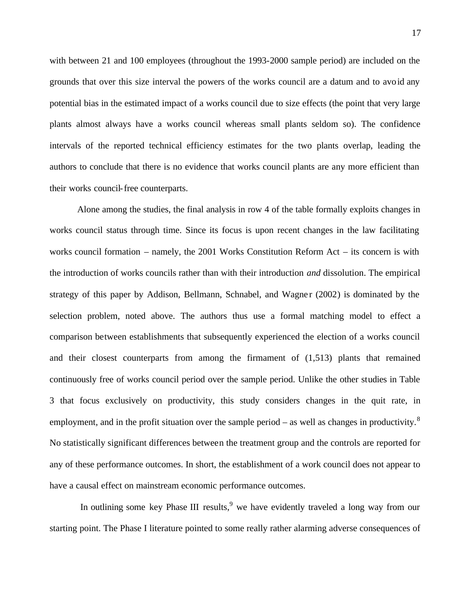with between 21 and 100 employees (throughout the 1993-2000 sample period) are included on the grounds that over this size interval the powers of the works council are a datum and to avoid any potential bias in the estimated impact of a works council due to size effects (the point that very large plants almost always have a works council whereas small plants seldom so). The confidence intervals of the reported technical efficiency estimates for the two plants overlap, leading the authors to conclude that there is no evidence that works council plants are any more efficient than their works council-free counterparts.

Alone among the studies, the final analysis in row 4 of the table formally exploits changes in works council status through time. Since its focus is upon recent changes in the law facilitating works council formation – namely, the 2001 Works Constitution Reform Act – its concern is with the introduction of works councils rather than with their introduction *and* dissolution. The empirical strategy of this paper by Addison, Bellmann, Schnabel, and Wagne r (2002) is dominated by the selection problem, noted above. The authors thus use a formal matching model to effect a comparison between establishments that subsequently experienced the election of a works council and their closest counterparts from among the firmament of (1,513) plants that remained continuously free of works council period over the sample period. Unlike the other studies in Table 3 that focus exclusively on productivity, this study considers changes in the quit rate, in employment, and in the profit situation over the sample period – as well as changes in productivity.<sup>8</sup> No statistically significant differences between the treatment group and the controls are reported for any of these performance outcomes. In short, the establishment of a work council does not appear to have a causal effect on mainstream economic performance outcomes.

In outlining some key Phase III results,  $9$  we have evidently traveled a long way from our starting point. The Phase I literature pointed to some really rather alarming adverse consequences of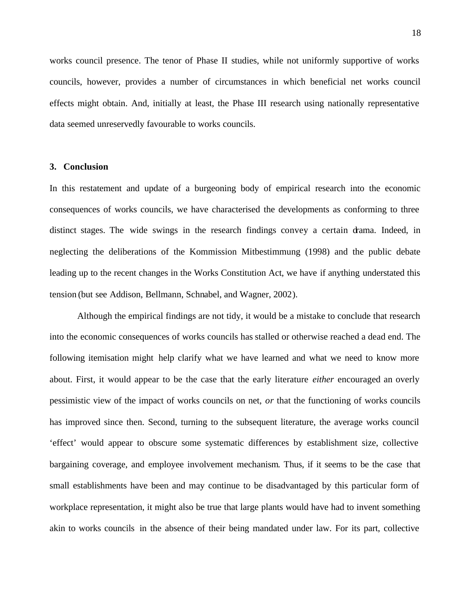works council presence. The tenor of Phase II studies, while not uniformly supportive of works councils, however, provides a number of circumstances in which beneficial net works council effects might obtain. And, initially at least, the Phase III research using nationally representative data seemed unreservedly favourable to works councils.

#### **3. Conclusion**

In this restatement and update of a burgeoning body of empirical research into the economic consequences of works councils, we have characterised the developments as conforming to three distinct stages. The wide swings in the research findings convey a certain drama. Indeed, in neglecting the deliberations of the Kommission Mitbestimmung (1998) and the public debate leading up to the recent changes in the Works Constitution Act, we have if anything understated this tension (but see Addison, Bellmann, Schnabel, and Wagner, 2002).

Although the empirical findings are not tidy, it would be a mistake to conclude that research into the economic consequences of works councils has stalled or otherwise reached a dead end. The following itemisation might help clarify what we have learned and what we need to know more about. First, it would appear to be the case that the early literature *either* encouraged an overly pessimistic view of the impact of works councils on net, *or* that the functioning of works councils has improved since then. Second, turning to the subsequent literature, the average works council 'effect' would appear to obscure some systematic differences by establishment size, collective bargaining coverage, and employee involvement mechanism. Thus, if it seems to be the case that small establishments have been and may continue to be disadvantaged by this particular form of workplace representation, it might also be true that large plants would have had to invent something akin to works councils in the absence of their being mandated under law. For its part, collective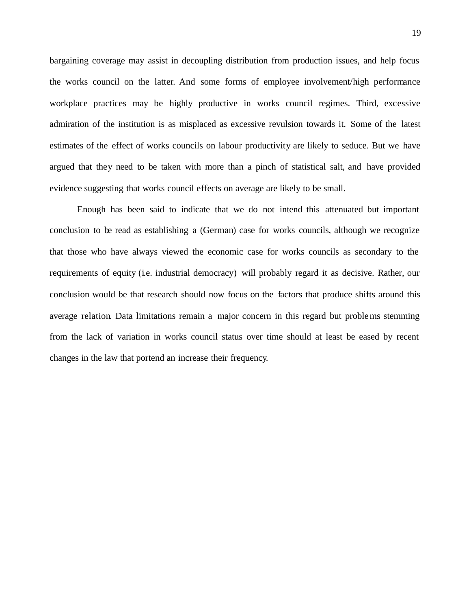bargaining coverage may assist in decoupling distribution from production issues, and help focus the works council on the latter. And some forms of employee involvement/high performance workplace practices may be highly productive in works council regimes. Third, excessive admiration of the institution is as misplaced as excessive revulsion towards it. Some of the latest estimates of the effect of works councils on labour productivity are likely to seduce. But we have argued that they need to be taken with more than a pinch of statistical salt, and have provided evidence suggesting that works council effects on average are likely to be small.

Enough has been said to indicate that we do not intend this attenuated but important conclusion to be read as establishing a (German) case for works councils, although we recognize that those who have always viewed the economic case for works councils as secondary to the requirements of equity (i.e. industrial democracy) will probably regard it as decisive. Rather, our conclusion would be that research should now focus on the factors that produce shifts around this average relation. Data limitations remain a major concern in this regard but problems stemming from the lack of variation in works council status over time should at least be eased by recent changes in the law that portend an increase their frequency.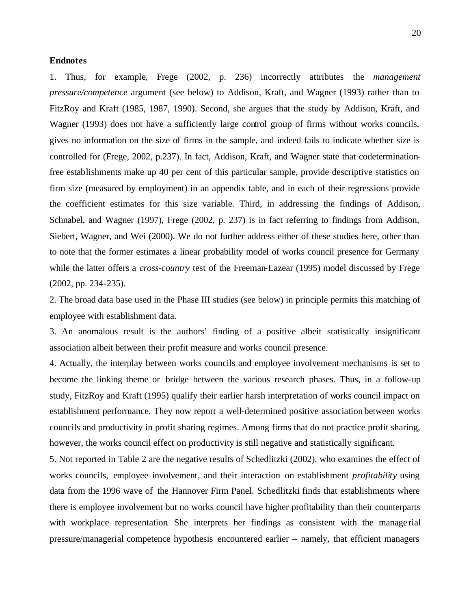#### **Endnotes**

1. Thus, for example, Frege (2002, p. 236) incorrectly attributes the *management pressure/competence* argument (see below) to Addison, Kraft, and Wagner (1993) rather than to FitzRoy and Kraft (1985, 1987, 1990). Second, she argues that the study by Addison, Kraft, and Wagner (1993) does not have a sufficiently large control group of firms without works councils, gives no information on the size of firms in the sample, and indeed fails to indicate whether size is controlled for (Frege, 2002, p.237). In fact, Addison, Kraft, and Wagner state that codeterminationfree establishments make up 40 per cent of this particular sample, provide descriptive statistics on firm size (measured by employment) in an appendix table, and in each of their regressions provide the coefficient estimates for this size variable. Third, in addressing the findings of Addison, Schnabel, and Wagner (1997), Frege (2002, p. 237) is in fact referring to findings from Addison, Siebert, Wagner, and Wei (2000). We do not further address either of these studies here, other than to note that the former estimates a linear probability model of works council presence for Germany while the latter offers a *cross-country* test of the Freeman-Lazear (1995) model discussed by Frege (2002, pp. 234-235).

2. The broad data base used in the Phase III studies (see below) in principle permits this matching of employee with establishment data.

3. An anomalous result is the authors' finding of a positive albeit statistically insignificant association albeit between their profit measure and works council presence.

4. Actually, the interplay between works councils and employee involvement mechanisms is set to become the linking theme or bridge between the various research phases. Thus, in a follow-up study, FitzRoy and Kraft (1995) qualify their earlier harsh interpretation of works council impact on establishment performance. They now report a well-determined positive association between works councils and productivity in profit sharing regimes. Among firms that do not practice profit sharing, however, the works council effect on productivity is still negative and statistically significant.

5. Not reported in Table 2 are the negative results of Schedlitzki (2002), who examines the effect of works councils, employee involvement, and their interaction on establishment *profitability* using data from the 1996 wave of the Hannover Firm Panel. Schedlitzki finds that establishments where there is employee involvement but no works council have higher profitability than their counterparts with workplace representation. She interprets her findings as consistent with the manage rial pressure/managerial competence hypothesis encountered earlier – namely, that efficient managers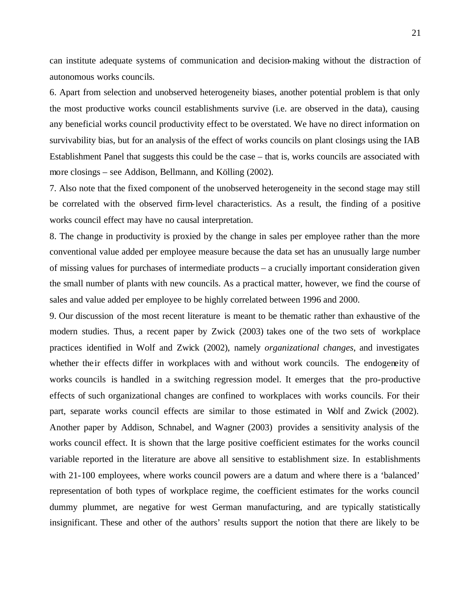can institute adequate systems of communication and decision-making without the distraction of autonomous works councils.

6. Apart from selection and unobserved heterogeneity biases, another potential problem is that only the most productive works council establishments survive (i.e. are observed in the data), causing any beneficial works council productivity effect to be overstated. We have no direct information on survivability bias, but for an analysis of the effect of works councils on plant closings using the IAB Establishment Panel that suggests this could be the case – that is, works councils are associated with more closings – see Addison, Bellmann, and Kölling (2002).

7. Also note that the fixed component of the unobserved heterogeneity in the second stage may still be correlated with the observed firm-level characteristics. As a result, the finding of a positive works council effect may have no causal interpretation.

8. The change in productivity is proxied by the change in sales per employee rather than the more conventional value added per employee measure because the data set has an unusually large number of missing values for purchases of intermediate products – a crucially important consideration given the small number of plants with new councils. As a practical matter, however, we find the course of sales and value added per employee to be highly correlated between 1996 and 2000.

9. Our discussion of the most recent literature is meant to be thematic rather than exhaustive of the modern studies. Thus, a recent paper by Zwick (2003) takes one of the two sets of workplace practices identified in Wolf and Zwick (2002), namely *organizational changes*, and investigates whether the ir effects differ in workplaces with and without work councils. The endogeneity of works councils is handled in a switching regression model. It emerges that the pro-productive effects of such organizational changes are confined to workplaces with works councils. For their part, separate works council effects are similar to those estimated in Wolf and Zwick (2002). Another paper by Addison, Schnabel, and Wagner (2003) provides a sensitivity analysis of the works council effect. It is shown that the large positive coefficient estimates for the works council variable reported in the literature are above all sensitive to establishment size. In establishments with 21-100 employees, where works council powers are a datum and where there is a 'balanced' representation of both types of workplace regime, the coefficient estimates for the works council dummy plummet, are negative for west German manufacturing, and are typically statistically insignificant. These and other of the authors' results support the notion that there are likely to be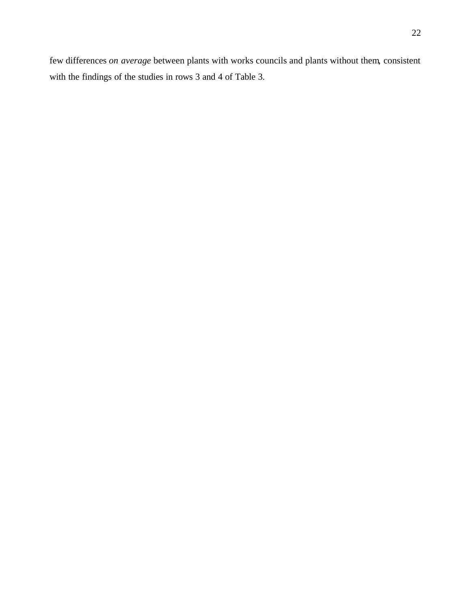few differences *on average* between plants with works councils and plants without them, consistent with the findings of the studies in rows 3 and 4 of Table 3.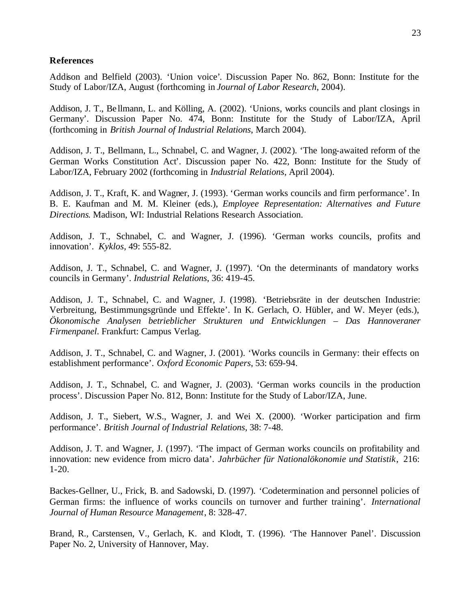#### **References**

Addison and Belfield (2003). 'Union voice'. Discussion Paper No. 862, Bonn: Institute for the Study of Labor/IZA, August (forthcoming in *Journal of Labor Research*, 2004).

Addison, J. T., Bellmann, L. and Kölling, A. (2002). 'Unions, works councils and plant closings in Germany'. Discussion Paper No. 474, Bonn: Institute for the Study of Labor/IZA, April (forthcoming in *British Journal of Industrial Relations*, March 2004).

Addison, J. T., Bellmann, L., Schnabel, C. and Wagner, J. (2002). 'The long-awaited reform of the German Works Constitution Act'. Discussion paper No. 422, Bonn: Institute for the Study of Labor/IZA, February 2002 (forthcoming in *Industrial Relations*, April 2004).

Addison, J. T., Kraft, K. and Wagner, J. (1993). 'German works councils and firm performance'. In B. E. Kaufman and M. M. Kleiner (eds.), *Employee Representation: Alternatives and Future Directions*. Madison, WI: Industrial Relations Research Association.

Addison, J. T., Schnabel, C. and Wagner, J. (1996). 'German works councils, profits and innovation'. *Kyklos*, 49: 555-82.

Addison, J. T., Schnabel, C. and Wagner, J. (1997). 'On the determinants of mandatory works councils in Germany'. *Industrial Relations*, 36: 419-45.

Addison, J. T., Schnabel, C. and Wagner, J. (1998). 'Betriebsräte in der deutschen Industrie: Verbreitung, Bestimmungsgründe und Effekte'. In K. Gerlach, O. Hübler, and W. Meyer (eds.), *Ökonomische Analysen betrieblicher Strukturen und Entwicklungen – Das Hannoveraner Firmenpanel*. Frankfurt: Campus Verlag.

Addison, J. T., Schnabel, C. and Wagner, J. (2001). 'Works councils in Germany: their effects on establishment performance'. *Oxford Economic Papers*, 53: 659-94.

Addison, J. T., Schnabel, C. and Wagner, J. (2003). 'German works councils in the production process'. Discussion Paper No. 812, Bonn: Institute for the Study of Labor/IZA, June.

Addison, J. T., Siebert, W.S., Wagner, J. and Wei X. (2000). 'Worker participation and firm performance'. *British Journal of Industrial Relations*, 38: 7-48.

Addison, J. T. and Wagner, J. (1997). 'The impact of German works councils on profitability and innovation: new evidence from micro data'. *Jahrbücher für Nationalökonomie und Statistik*, 216: 1-20.

Backes-Gellner, U., Frick, B. and Sadowski, D. (1997). 'Codetermination and personnel policies of German firms: the influence of works councils on turnover and further training'. *International Journal of Human Resource Management*, 8: 328-47.

Brand, R., Carstensen, V., Gerlach, K. and Klodt, T. (1996). 'The Hannover Panel'. Discussion Paper No. 2, University of Hannover, May.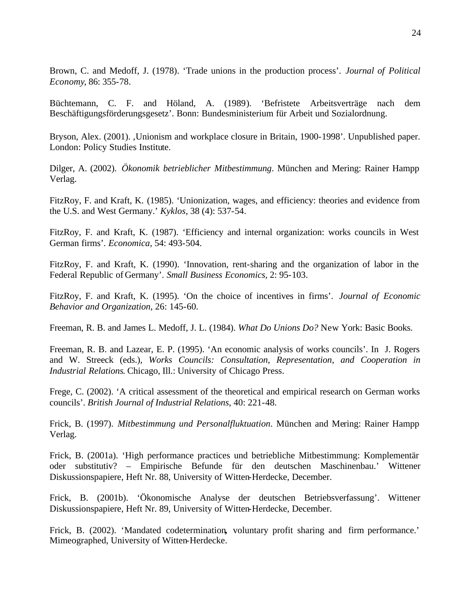Brown, C. and Medoff, J. (1978). 'Trade unions in the production process'. *Journal of Political Economy*, 86: 355-78.

Büchtemann, C. F. and Höland, A. (1989). 'Befristete Arbeitsverträge nach dem Beschäftigungsförderungsgesetz'. Bonn: Bundesministerium für Arbeit und Sozialordnung.

Bryson, Alex. (2001). 'Unionism and workplace closure in Britain, 1900-1998'. Unpublished paper. London: Policy Studies Institute.

Dilger, A. (2002). *Ökonomik betrieblicher Mitbestimmung*. München and Mering: Rainer Hampp Verlag.

FitzRoy, F. and Kraft, K. (1985). 'Unionization, wages, and efficiency: theories and evidence from the U.S. and West Germany.' *Kyklos*, 38 (4): 537-54.

FitzRoy, F. and Kraft, K. (1987). 'Efficiency and internal organization: works councils in West German firms'. *Economica*, 54: 493-504.

FitzRoy, F. and Kraft, K. (1990). 'Innovation, rent-sharing and the organization of labor in the Federal Republic of Germany'. *Small Business Economics*, 2: 95-103.

FitzRoy, F. and Kraft, K. (1995). 'On the choice of incentives in firms'. *Journal of Economic Behavior and Organization*, 26: 145-60.

Freeman, R. B. and James L. Medoff, J. L. (1984). *What Do Unions Do?* New York: Basic Books.

Freeman, R. B. and Lazear, E. P. (1995). 'An economic analysis of works councils'. In J. Rogers and W. Streeck (eds.), *Works Councils: Consultation, Representation, and Cooperation in Industrial Relations*. Chicago, Ill.: University of Chicago Press.

Frege, C. (2002). 'A critical assessment of the theoretical and empirical research on German works councils'. *British Journal of Industrial Relations*, 40: 221-48.

Frick, B. (1997). *Mitbestimmung und Personalfluktuation*. München and Mering: Rainer Hampp Verlag.

Frick, B. (2001a). 'High performance practices und betriebliche Mitbestimmung: Komplementär oder substitutiv? – Empirische Befunde für den deutschen Maschinenbau.' Wittener Diskussionspapiere, Heft Nr. 88, University of Witten-Herdecke, December.

Frick, B. (2001b). 'Ökonomische Analyse der deutschen Betriebsverfassung'. Wittener Diskussionspapiere, Heft Nr. 89, University of Witten-Herdecke, December.

Frick, B. (2002). 'Mandated codetermination**,** voluntary profit sharing and firm performance.' Mimeographed, University of Witten-Herdecke.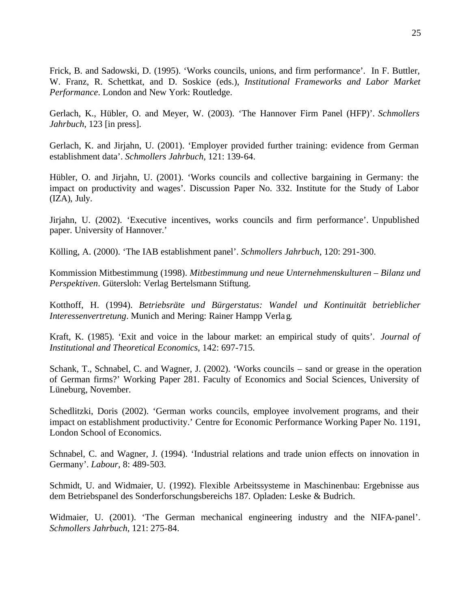Frick, B. and Sadowski, D. (1995). 'Works councils, unions, and firm performance'. In F. Buttler, W. Franz, R. Schettkat, and D. Soskice (eds.), *Institutional Frameworks and Labor Market Performance*. London and New York: Routledge.

Gerlach, K., Hübler, O. and Meyer, W. (2003). 'The Hannover Firm Panel (HFP)'. *Schmollers Jahrbuch*, 123 [in press].

Gerlach, K. and Jirjahn, U. (2001). 'Employer provided further training: evidence from German establishment data'. *Schmollers Jahrbuch*, 121: 139-64.

Hübler, O. and Jirjahn, U. (2001). 'Works councils and collective bargaining in Germany: the impact on productivity and wages'. Discussion Paper No. 332. Institute for the Study of Labor (IZA), July.

Jirjahn, U. (2002). 'Executive incentives, works councils and firm performance'. Unpublished paper. University of Hannover.'

Kölling, A. (2000). 'The IAB establishment panel'. *Schmollers Jahrbuch*, 120: 291-300.

Kommission Mitbestimmung (1998). *Mitbestimmung und neue Unternehmenskulturen – Bilanz und Perspektiven*. Gütersloh: Verlag Bertelsmann Stiftung.

Kotthoff, H. (1994). *Betriebsräte und Bürgerstatus: Wandel und Kontinuität betrieblicher Interessenvertretung*. Munich and Mering: Rainer Hampp Verlag.

Kraft, K. (1985). 'Exit and voice in the labour market: an empirical study of quits'. *Journal of Institutional and Theoretical Economics*, 142: 697-715.

Schank, T., Schnabel, C. and Wagner, J. (2002). 'Works councils – sand or grease in the operation of German firms?' Working Paper 281. Faculty of Economics and Social Sciences, University of Lüneburg, November.

Schedlitzki, Doris (2002). 'German works councils, employee involvement programs, and their impact on establishment productivity.' Centre for Economic Performance Working Paper No. 1191, London School of Economics.

Schnabel, C. and Wagner, J. (1994). 'Industrial relations and trade union effects on innovation in Germany'. *Labour*, 8: 489-503.

Schmidt, U. and Widmaier, U. (1992). Flexible Arbeitssysteme in Maschinenbau: Ergebnisse aus dem Betriebspanel des Sonderforschungsbereichs 187*.* Opladen: Leske & Budrich.

Widmaier, U. (2001). 'The German mechanical engineering industry and the NIFA-panel'. *Schmollers Jahrbuch*, 121: 275-84.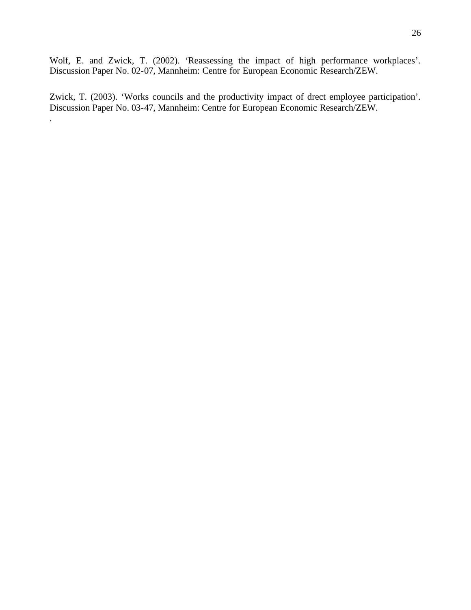Wolf, E. and Zwick, T. (2002). 'Reassessing the impact of high performance workplaces'. Discussion Paper No. 02-07, Mannheim: Centre for European Economic Research/ZEW.

Zwick, T. (2003). 'Works councils and the productivity impact of drect employee participation'. Discussion Paper No. 03-47, Mannheim: Centre for European Economic Research/ZEW.

.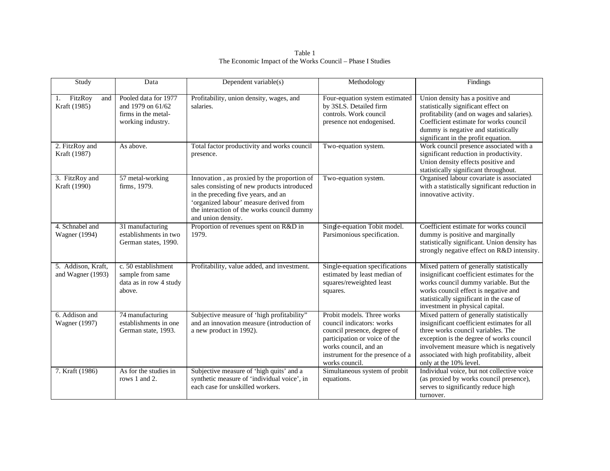Table 1 The Economic Impact of the Works Council – Phase I Studies

| Study                                   | Data                                                                                  | Dependent variable(s)                                                                                                                                                                                                                            | Methodology                                                                                                                                                                                            | Findings                                                                                                                                                                                                                                                                                     |
|-----------------------------------------|---------------------------------------------------------------------------------------|--------------------------------------------------------------------------------------------------------------------------------------------------------------------------------------------------------------------------------------------------|--------------------------------------------------------------------------------------------------------------------------------------------------------------------------------------------------------|----------------------------------------------------------------------------------------------------------------------------------------------------------------------------------------------------------------------------------------------------------------------------------------------|
| FitzRoy<br>and<br>1.<br>Kraft (1985)    | Pooled data for 1977<br>and 1979 on 61/62<br>firms in the metal-<br>working industry. | Profitability, union density, wages, and<br>salaries.                                                                                                                                                                                            | Four-equation system estimated<br>by 3SLS. Detailed firm<br>controls. Work council<br>presence not endogenised.                                                                                        | Union density has a positive and<br>statistically significant effect on<br>profitability (and on wages and salaries).<br>Coefficient estimate for works council<br>dummy is negative and statistically<br>significant in the profit equation.                                                |
| 2. FitzRoy and<br>Kraft (1987)          | As above.                                                                             | Total factor productivity and works council<br>presence.                                                                                                                                                                                         | Two-equation system.                                                                                                                                                                                   | Work council presence associated with a<br>significant reduction in productivity.<br>Union density effects positive and<br>statistically significant throughout.                                                                                                                             |
| 3. FitzRoy and<br>Kraft (1990)          | 57 metal-working<br>firms, 1979.                                                      | Innovation, as proxied by the proportion of<br>sales consisting of new products introduced<br>in the preceding five years, and an<br>'organized labour' measure derived from<br>the interaction of the works council dummy<br>and union density. | Two-equation system.                                                                                                                                                                                   | Organised labour covariate is associated<br>with a statistically significant reduction in<br>innovative activity.                                                                                                                                                                            |
| 4. Schnabel and<br>Wagner (1994)        | 31 manufacturing<br>establishments in two<br>German states, 1990.                     | Proportion of revenues spent on R&D in<br>1979.                                                                                                                                                                                                  | Single-equation Tobit model.<br>Parsimonious specification.                                                                                                                                            | Coefficient estimate for works council<br>dummy is positive and marginally<br>statistically significant. Union density has<br>strongly negative effect on R&D intensity.                                                                                                                     |
| 5. Addison, Kraft,<br>and Wagner (1993) | c. 50 establishment<br>sample from same<br>data as in row 4 study<br>above.           | Profitability, value added, and investment.                                                                                                                                                                                                      | Single-equation specifications<br>estimated by least median of<br>squares/reweighted least<br>squares.                                                                                                 | Mixed pattern of generally statistically<br>insignificant coefficient estimates for the<br>works council dummy variable. But the<br>works council effect is negative and<br>statistically significant in the case of<br>investment in physical capital.                                      |
| 6. Addison and<br>Wagner (1997)         | 74 manufacturing<br>establishments in one<br>German state, 1993.                      | Subjective measure of 'high profitability"<br>and an innovation measure (introduction of<br>a new product in 1992).                                                                                                                              | Probit models. Three works<br>council indicators: works<br>council presence, degree of<br>participation or voice of the<br>works council, and an<br>instrument for the presence of a<br>works council. | Mixed pattern of generally statistically<br>insignificant coefficient estimates for all<br>three works council variables. The<br>exception is the degree of works council<br>involvement measure which is negatively<br>associated with high profitability, albeit<br>only at the 10% level. |
| 7. Kraft (1986)                         | As for the studies in<br>rows 1 and 2.                                                | Subjective measure of 'high quits' and a<br>synthetic measure of 'individual voice', in<br>each case for unskilled workers.                                                                                                                      | Simultaneous system of probit<br>equations.                                                                                                                                                            | Individual voice, but not collective voice<br>(as proxied by works council presence),<br>serves to significantly reduce high<br>turnover.                                                                                                                                                    |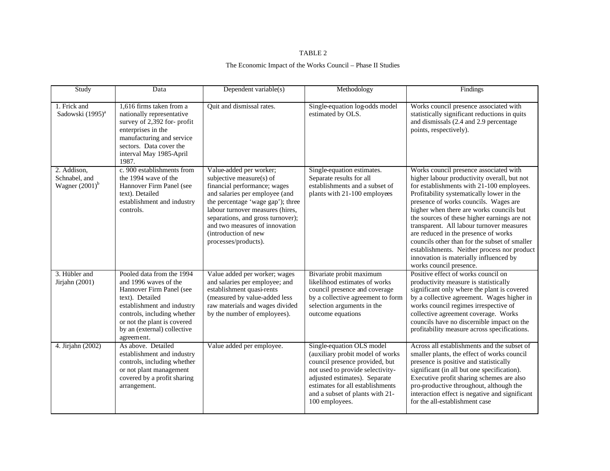#### TABLE 2

#### The Economic Impact of the Works Council – Phase II Studies

| Study                                             | Data                                                                                                                                                                                                                                       | Dependent variable(s)                                                                                                                                                                                                                                                                                                 | Methodology                                                                                                                                                                                                                                                   | Findings                                                                                                                                                                                                                                                                                                                                                                                                                                                                                                                                                                       |
|---------------------------------------------------|--------------------------------------------------------------------------------------------------------------------------------------------------------------------------------------------------------------------------------------------|-----------------------------------------------------------------------------------------------------------------------------------------------------------------------------------------------------------------------------------------------------------------------------------------------------------------------|---------------------------------------------------------------------------------------------------------------------------------------------------------------------------------------------------------------------------------------------------------------|--------------------------------------------------------------------------------------------------------------------------------------------------------------------------------------------------------------------------------------------------------------------------------------------------------------------------------------------------------------------------------------------------------------------------------------------------------------------------------------------------------------------------------------------------------------------------------|
| 1. Frick and<br>Sadowski (1995) <sup>a</sup>      | 1,616 firms taken from a<br>nationally representative<br>survey of 2,392 for-profit<br>enterprises in the<br>manufacturing and service<br>sectors. Data cover the<br>interval May 1985-April<br>1987.                                      | Quit and dismissal rates.                                                                                                                                                                                                                                                                                             | Single-equation log-odds model<br>estimated by OLS.                                                                                                                                                                                                           | Works council presence associated with<br>statistically significant reductions in quits<br>and dismissals (2.4 and 2.9 percentage<br>points, respectively).                                                                                                                                                                                                                                                                                                                                                                                                                    |
| 2. Addison,<br>Schnabel, and<br>Wagner $(2001)^b$ | c. 900 establishments from<br>the 1994 wave of the<br>Hannover Firm Panel (see<br>text). Detailed<br>establishment and industry<br>controls.                                                                                               | Value-added per worker;<br>subjective measure(s) of<br>financial performance; wages<br>and salaries per employee (and<br>the percentage 'wage gap'); three<br>labour turnover measures (hires,<br>separations, and gross turnover);<br>and two measures of innovation<br>(introduction of new<br>processes/products). | Single-equation estimates.<br>Separate results for all<br>establishments and a subset of<br>plants with 21-100 employees                                                                                                                                      | Works council presence associated with<br>higher labour productivity overall, but not<br>for establishments with 21-100 employees.<br>Profitability systematically lower in the<br>presence of works councils. Wages are<br>higher when there are works councils but<br>the sources of these higher earnings are not<br>transparent. All labour turnover measures<br>are reduced in the presence of works<br>councils other than for the subset of smaller<br>establishments. Neither process nor product<br>innovation is materially influenced by<br>works council presence. |
| 3. Hübler and<br>Jirjahn $(2001)$                 | Pooled data from the 1994<br>and 1996 waves of the<br>Hannover Firm Panel (see<br>text). Detailed<br>establishment and industry<br>controls, including whether<br>or not the plant is covered<br>by an (external) collective<br>agreement. | Value added per worker; wages<br>and salaries per employee; and<br>establishment quasi-rents<br>(measured by value-added less<br>raw materials and wages divided<br>by the number of employees).                                                                                                                      | Bivariate probit maximum<br>likelihood estimates of works<br>council presence and coverage<br>by a collective agreement to form<br>selection arguments in the<br>outcome equations                                                                            | Positive effect of works council on<br>productivity measure is statistically<br>significant only where the plant is covered<br>by a collective agreement. Wages higher in<br>works council regimes irrespective of<br>collective agreement coverage. Works<br>councils have no discernible impact on the<br>profitability measure across specifications.                                                                                                                                                                                                                       |
| 4. Jirjahn (2002)                                 | As above. Detailed<br>establishment and industry<br>controls, including whether<br>or not plant management<br>covered by a profit sharing<br>arrangement.                                                                                  | Value added per employee.                                                                                                                                                                                                                                                                                             | Single-equation OLS model<br>(auxiliary probit model of works<br>council presence provided, but<br>not used to provide selectivity-<br>adjusted estimates). Separate<br>estimates for all establishments<br>and a subset of plants with 21-<br>100 employees. | Across all establishments and the subset of<br>smaller plants, the effect of works council<br>presence is positive and statistically<br>significant (in all but one specification).<br>Executive profit sharing schemes are also<br>pro-productive throughout, although the<br>interaction effect is negative and significant<br>for the all-establishment case                                                                                                                                                                                                                |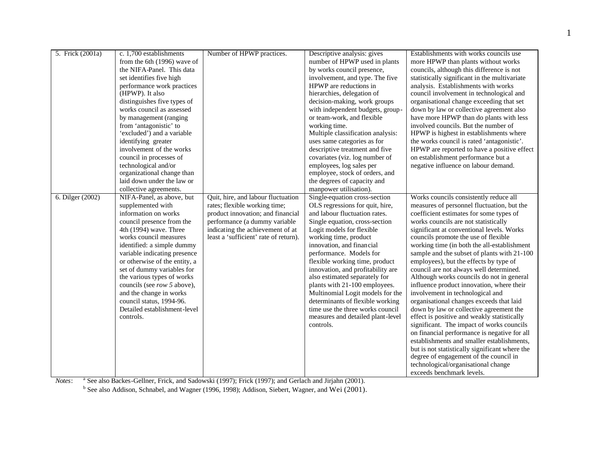| 5. Frick (2001a) | c. 1,700 establishments       | Number of HPWP practices.             | Descriptive analysis: gives       | Establishments with works councils use                                        |
|------------------|-------------------------------|---------------------------------------|-----------------------------------|-------------------------------------------------------------------------------|
|                  | from the 6th (1996) wave of   |                                       | number of HPWP used in plants     | more HPWP than plants without works                                           |
|                  | the NIFA-Panel. This data     |                                       | by works council presence,        | councils, although this difference is not                                     |
|                  | set identifies five high      |                                       | involvement, and type. The five   | statistically significant in the multivariate                                 |
|                  | performance work practices    |                                       | HPWP are reductions in            | analysis. Establishments with works                                           |
|                  | (HPWP). It also               |                                       | hierarchies, delegation of        | council involvement in technological and                                      |
|                  | distinguishes five types of   |                                       | decision-making, work groups      | organisational change exceeding that set                                      |
|                  | works council as assessed     |                                       | with independent budgets, group-  | down by law or collective agreement also                                      |
|                  | by management (ranging        |                                       | or team-work, and flexible        | have more HPWP than do plants with less                                       |
|                  | from 'antagonistic' to        |                                       | working time.                     | involved councils. But the number of                                          |
|                  | 'excluded') and a variable    |                                       | Multiple classification analysis: | HPWP is highest in establishments where                                       |
|                  | identifying greater           |                                       | uses same categories as for       | the works council is rated 'antagonistic'.                                    |
|                  | involvement of the works      |                                       | descriptive treatment and five    | HPWP are reported to have a positive effect                                   |
|                  | council in processes of       |                                       | covariates (viz. log number of    | on establishment performance but a                                            |
|                  | technological and/or          |                                       | employees, log sales per          | negative influence on labour demand.                                          |
|                  | organizational change than    |                                       | employee, stock of orders, and    |                                                                               |
|                  | laid down under the law or    |                                       | the degrees of capacity and       |                                                                               |
|                  | collective agreements.        |                                       | manpower utilisation).            |                                                                               |
| 6. Dilger (2002) | NIFA-Panel, as above, but     | Quit, hire, and labour fluctuation    | Single-equation cross-section     | Works councils consistently reduce all                                        |
|                  | supplemented with             | rates; flexible working time;         | OLS regressions for quit, hire,   | measures of personnel fluctuation, but the                                    |
|                  | information on works          | product innovation; and financial     | and labour fluctuation rates.     | coefficient estimates for some types of                                       |
|                  | council presence from the     | performance (a dummy variable         | Single equation, cross-section    | works councils are not statistically                                          |
|                  | 4th (1994) wave. Three        | indicating the achievement of at      | Logit models for flexible         | significant at conventional levels. Works                                     |
|                  | works council measures        | least a 'sufficient' rate of return). | working time, product             | councils promote the use of flexible                                          |
|                  | identified: a simple dummy    |                                       | innovation, and financial         | working time (in both the all-establishment                                   |
|                  | variable indicating presence  |                                       | performance. Models for           | sample and the subset of plants with 21-100                                   |
|                  | or otherwise of the entity, a |                                       | flexible working time, product    | employees), but the effects by type of                                        |
|                  | set of dummy variables for    |                                       | innovation, and profitability are | council are not always well determined.                                       |
|                  | the various types of works    |                                       | also estimated separately for     | Although works councils do not in general                                     |
|                  | councils (see row 5 above),   |                                       | plants with 21-100 employees.     | influence product innovation, where their                                     |
|                  | and the change in works       |                                       | Multinomial Logit models for the  | involvement in technological and                                              |
|                  | council status, 1994-96.      |                                       | determinants of flexible working  | organisational changes exceeds that laid                                      |
|                  | Detailed establishment-level  |                                       | time use the three works council  | down by law or collective agreement the                                       |
|                  | controls.                     |                                       | measures and detailed plant-level | effect is positive and weakly statistically                                   |
|                  |                               |                                       | controls.                         | significant. The impact of works councils                                     |
|                  |                               |                                       |                                   | on financial performance is negative for all                                  |
|                  |                               |                                       |                                   | establishments and smaller establishments,                                    |
|                  |                               |                                       |                                   | but is not statistically significant where the                                |
|                  |                               |                                       |                                   | degree of engagement of the council in<br>technological/organisational change |
|                  |                               |                                       |                                   |                                                                               |
|                  |                               |                                       |                                   | exceeds benchmark levels.                                                     |

*Notes*: <sup>a</sup> See also Backes-Gellner, Frick, and Sadowski (1997); Frick (1997); and Gerlach and Jirjahn (2001).

<sup>b</sup> See also Addison, Schnabel, and Wagner (1996, 1998); Addison, Siebert, Wagner, and Wei (2001).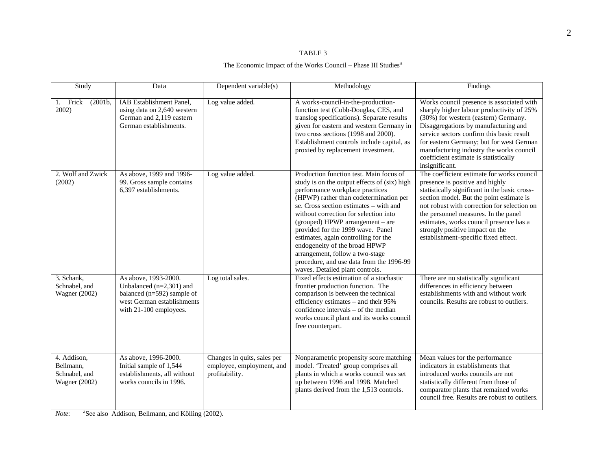#### TABLE 3

#### The Economic Impact of the Works Council – Phase III Studies $^{\rm a}$

| Study                                                             | Data                                                                                                                                         | Dependent variable(s)                                                      | Methodology                                                                                                                                                                                                                                                                                                                                                                                                                                                                                                                 | Findings                                                                                                                                                                                                                                                                                                                                                                                |
|-------------------------------------------------------------------|----------------------------------------------------------------------------------------------------------------------------------------------|----------------------------------------------------------------------------|-----------------------------------------------------------------------------------------------------------------------------------------------------------------------------------------------------------------------------------------------------------------------------------------------------------------------------------------------------------------------------------------------------------------------------------------------------------------------------------------------------------------------------|-----------------------------------------------------------------------------------------------------------------------------------------------------------------------------------------------------------------------------------------------------------------------------------------------------------------------------------------------------------------------------------------|
| 1. Frick<br>(2001b,<br>2002)                                      | IAB Establishment Panel,<br>using data on 2,640 western<br>German and 2,119 eastern<br>German establishments.                                | Log value added.                                                           | A works-council-in-the-production-<br>function test (Cobb-Douglas, CES, and<br>translog specifications). Separate results<br>given for eastern and western Germany in<br>two cross sections (1998 and 2000).<br>Establishment controls include capital, as<br>proxied by replacement investment.                                                                                                                                                                                                                            | Works council presence is associated with<br>sharply higher labour productivity of 25%<br>(30%) for western (eastern) Germany.<br>Disaggregations by manufacturing and<br>service sectors confirm this basic result<br>for eastern Germany; but for west German<br>manufacturing industry the works council<br>coefficient estimate is statistically<br>insignificant.                  |
| 2. Wolf and Zwick<br>(2002)                                       | As above, 1999 and 1996-<br>99. Gross sample contains<br>6,397 establishments.                                                               | Log value added.                                                           | Production function test. Main focus of<br>study is on the output effects of (six) high<br>performance workplace practices<br>(HPWP) rather than codetermination per<br>se. Cross section estimates - with and<br>without correction for selection into<br>(grouped) HPWP arrangement - are<br>provided for the 1999 wave. Panel<br>estimates, again controlling for the<br>endogeneity of the broad HPWP<br>arrangement, follow a two-stage<br>procedure, and use data from the 1996-99<br>waves. Detailed plant controls. | The coefficient estimate for works council<br>presence is positive and highly<br>statistically significant in the basic cross-<br>section model. But the point estimate is<br>not robust with correction for selection on<br>the personnel measures. In the panel<br>estimates, works council presence has a<br>strongly positive impact on the<br>establishment-specific fixed effect. |
| 3. Schank.<br>Schnabel, and<br><b>Wagner</b> (2002)               | As above, 1993-2000.<br>Unbalanced $(n=2,301)$ and<br>balanced ( $n=592$ ) sample of<br>west German establishments<br>with 21-100 employees. | Log total sales.                                                           | Fixed effects estimation of a stochastic<br>frontier production function. The<br>comparison is between the technical<br>efficiency estimates - and their 95%<br>confidence intervals – of the median<br>works council plant and its works council<br>free counterpart.                                                                                                                                                                                                                                                      | There are no statistically significant<br>differences in efficiency between<br>establishments with and without work<br>councils. Results are robust to outliers.                                                                                                                                                                                                                        |
| 4. Addison,<br>Bellmann.<br>Schnabel, and<br><b>Wagner</b> (2002) | As above, 1996-2000.<br>Initial sample of 1,544<br>establishments, all without<br>works councils in 1996.                                    | Changes in quits, sales per<br>employee, employment, and<br>profitability. | Nonparametric propensity score matching<br>model. 'Treated' group comprises all<br>plants in which a works council was set<br>up between 1996 and 1998. Matched<br>plants derived from the 1,513 controls.                                                                                                                                                                                                                                                                                                                  | Mean values for the performance<br>indicators in establishments that<br>introduced works councils are not<br>statistically different from those of<br>comparator plants that remained works<br>council free. Results are robust to outliers.                                                                                                                                            |

*Note*: <sup>a</sup>See also Addison, Bellmann, and Kölling (2002).